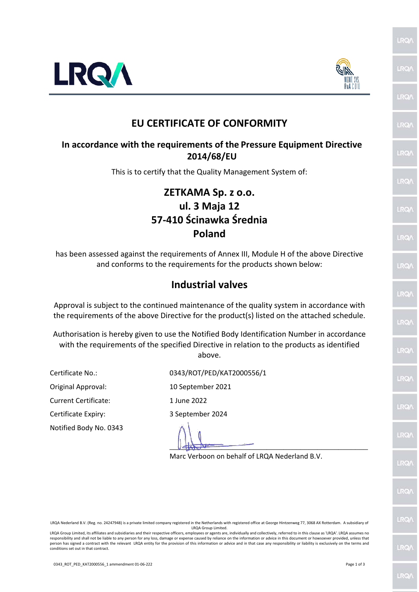

LRQ/

**RO** 

LRO/

LRQ/

LRO

LRQ

**RQ** 

LRQ/

LRQ/

LRQ/

**IRO** 

LRQ

LRQ

**RQ** 

LRQ/

LRQ/

LRQ/

**IRO** 

**LRQ** 



## **EU CERTIFICATE OF CONFORMITY**

## **In accordance with the requirements of the Pressure Equipment Directive 2014/68/EU**

This is to certify that the Quality Management System of:

## **ZETKAMA Sp. z o.o. ul. 3 Maja 12 57-410 Ścinawka Średnia Poland**

has been assessed against the requirements of Annex III, Module H of the above Directive and conforms to the requirements for the products shown below:

## **Industrial valves**

Approval is subject to the continued maintenance of the quality system in accordance with the requirements of the above Directive for the product(s) listed on the attached schedule.

Authorisation is hereby given to use the Notified Body Identification Number in accordance with the requirements of the specified Directive in relation to the products as identified above.

Original Approval: 10 September 2021

Current Certificate: 1 June 2022

Notified Body No. 0343

Certificate No.: 0343/ROT/PED/KAT2000556/1

Certificate Expiry: 3 September 2024

 $\frac{1}{2}$ 

Marc Verboon on behalf of LRQA Nederland B.V.

LRQA Nederland B.V. (Reg. no. 24247948) is a private limited company registered in the Netherlands with registered office at George Hintzenweg 77, 3068 AX Rotterdam. A subsidiary of LRQA Group Limited.

LRQA Group Limited, its affiliates and subsidiaries and their respective officers, employees or agents are, individually and collectively, referred to in this clause as 'LRQA'. LRQA assumes no responsibility and shall not be liable to any person for any loss, damage or expense caused by reliance on the information or advice in this document or howsoever provided, unless that person has signed a contract with the relevant LRQA entity for the provision of this information or advice and in that case any responsibility or liability is exclusively on the terms and conditions set out in that contract.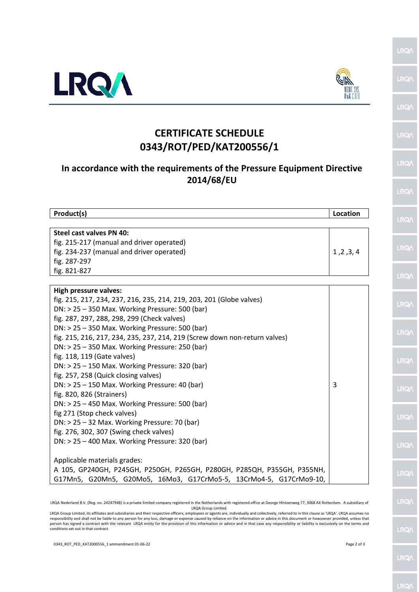

Product(s)

fig. 287-297 fig. 821-827

Steel cast valves PN 40:

**High pressure valves:** 

fig. 118, 119 (Gate valves)

fig. 820, 826 (Strainers)

fig 271 (Stop check valves)

Applicable materials grades:

fig. 257, 258 (Quick closing valves)

fig. 215-217 (manual and driver operated)

fig. 234-237 (manual and driver operated)

 $DN:$  > 25 - 350 Max. Working Pressure: 500 (bar)

 $DN:$  > 25 - 350 Max. Working Pressure: 500 (bar)

DN: > 25 - 350 Max. Working Pressure: 250 (bar)

 $DN:$  > 25 - 150 Max. Working Pressure: 320 (bar)

DN: > 25 - 150 Max. Working Pressure: 40 (bar)

 $DN:$  > 25 - 450 Max. Working Pressure: 500 (bar)

DN: > 25 - 400 Max. Working Pressure: 320 (bar)

DN: > 25 - 32 Max. Working Pressure: 70 (bar)

fig. 276, 302, 307 (Swing check valves)

fig. 287, 297, 288, 298, 299 (Check valves)

fig. 215, 217, 234, 237, 216, 235, 214, 219, 203, 201 (Globe valves)

fig. 215, 216, 217, 234, 235, 237, 214, 219 (Screw down non-return valves)



Location

 $1, 2, 3, 4$ 

3



**RO** 

LRO/

**RQ/** 

**IRQ** 

**LRQ/** 

LRQ/

LRQ/

**IRQ** 

LRQ/

**IRQ** 

LRQ/

**RO** 

LRO/

RO

**IRQ** 

**RO** 

**LRQ** 



LRQA Nederland B.V. (Reg. no. 24247948) is a private limited company registered in the Netherlands with registered office at George Hintzenweg 77, 3068 AX Rotterdam. A subsidiary of **LROA Group Limited** LRQA Group Limited, its affiliates and subsidiaries and their respective officers, employees or agents are, individually and collectively, referred to in this clause as 'LRQA'. LRQA assumes no

A 105, GP240GH, P245GH, P250GH, P265GH, P280GH, P285QH, P355GH, P355NH,

G17Mn5, G20Mn5, G20Mo5, 16Mo3, G17CrMo5-5, 13CrMo4-5, G17CrMo9-10,

**CERTIFICATE SCHEDULE** 

0343/ROT/PED/KAT200556/1

In accordance with the requirements of the Pressure Equipment Directive 2014/68/EU

conditions set out in that contract.

Page 2 of 3